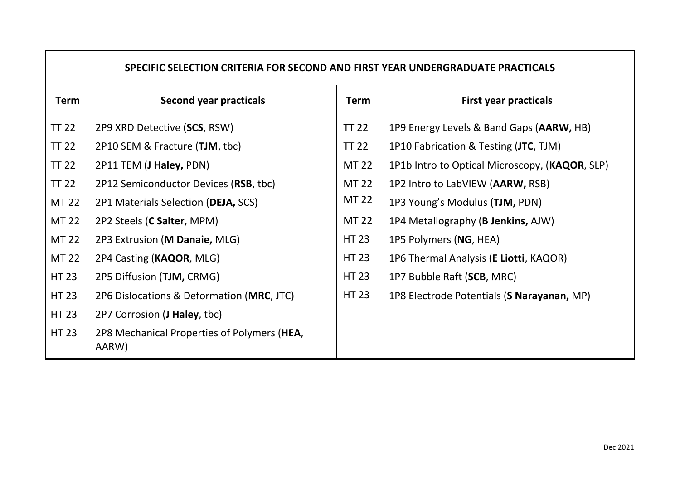| SPECIFIC SELECTION CRITERIA FOR SECOND AND FIRST YEAR UNDERGRADUATE PRACTICALS |                                                      |              |                                                |  |  |
|--------------------------------------------------------------------------------|------------------------------------------------------|--------------|------------------------------------------------|--|--|
| Term                                                                           | <b>Second year practicals</b>                        | <b>Term</b>  | <b>First year practicals</b>                   |  |  |
| <b>TT 22</b>                                                                   | 2P9 XRD Detective (SCS, RSW)                         | <b>TT 22</b> | 1P9 Energy Levels & Band Gaps (AARW, HB)       |  |  |
| <b>TT 22</b>                                                                   | 2P10 SEM & Fracture (TJM, tbc)                       | <b>TT 22</b> | 1P10 Fabrication & Testing (JTC, TJM)          |  |  |
| <b>TT 22</b>                                                                   | 2P11 TEM (J Haley, PDN)                              | <b>MT 22</b> | 1P1b Intro to Optical Microscopy, (KAQOR, SLP) |  |  |
| <b>TT 22</b>                                                                   | 2P12 Semiconductor Devices (RSB, tbc)                | MT 22        | 1P2 Intro to LabVIEW (AARW, RSB)               |  |  |
| <b>MT 22</b>                                                                   | 2P1 Materials Selection (DEJA, SCS)                  | MT 22        | 1P3 Young's Modulus (TJM, PDN)                 |  |  |
| <b>MT 22</b>                                                                   | 2P2 Steels (C Salter, MPM)                           | MT 22        | 1P4 Metallography ( <b>B Jenkins</b> , AJW)    |  |  |
| <b>MT 22</b>                                                                   | 2P3 Extrusion (M Danaie, MLG)                        | HT 23        | 1P5 Polymers (NG, HEA)                         |  |  |
| MT 22                                                                          | 2P4 Casting (KAQOR, MLG)                             | <b>HT 23</b> | 1P6 Thermal Analysis (E Liotti, KAQOR)         |  |  |
| <b>HT 23</b>                                                                   | 2P5 Diffusion (TJM, CRMG)                            | HT 23        | 1P7 Bubble Raft (SCB, MRC)                     |  |  |
| <b>HT 23</b>                                                                   | 2P6 Dislocations & Deformation (MRC, JTC)            | HT 23        | 1P8 Electrode Potentials (S Narayanan, MP)     |  |  |
| <b>HT 23</b>                                                                   | 2P7 Corrosion (J Haley, tbc)                         |              |                                                |  |  |
| <b>HT 23</b>                                                                   | 2P8 Mechanical Properties of Polymers (HEA,<br>AARW) |              |                                                |  |  |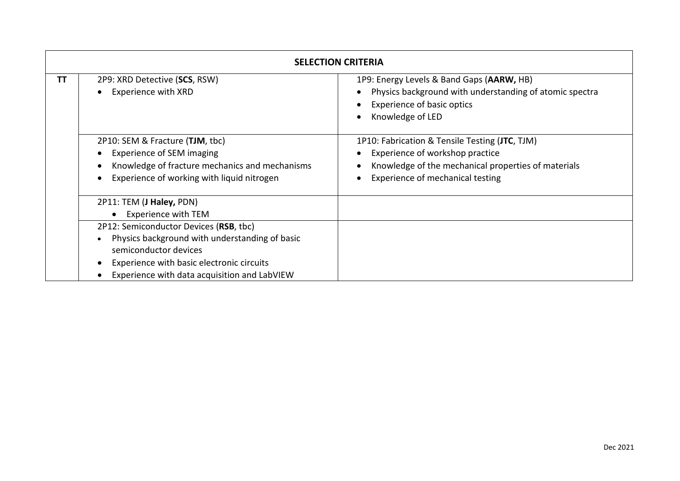| <b>SELECTION CRITERIA</b> |                                                                                                                                                                                                                                                                                       |                                                                                                                                                                              |  |
|---------------------------|---------------------------------------------------------------------------------------------------------------------------------------------------------------------------------------------------------------------------------------------------------------------------------------|------------------------------------------------------------------------------------------------------------------------------------------------------------------------------|--|
| ΤT                        | 2P9: XRD Detective (SCS, RSW)<br><b>Experience with XRD</b>                                                                                                                                                                                                                           | 1P9: Energy Levels & Band Gaps (AARW, HB)<br>Physics background with understanding of atomic spectra<br><b>Experience of basic optics</b><br>Knowledge of LED                |  |
|                           | 2P10: SEM & Fracture (TJM, tbc)<br><b>Experience of SEM imaging</b><br>Knowledge of fracture mechanics and mechanisms<br>Experience of working with liquid nitrogen                                                                                                                   | 1P10: Fabrication & Tensile Testing (JTC, TJM)<br>Experience of workshop practice<br>Knowledge of the mechanical properties of materials<br>Experience of mechanical testing |  |
|                           | 2P11: TEM (J Haley, PDN)<br><b>Experience with TEM</b><br>$\bullet$<br>2P12: Semiconductor Devices (RSB, tbc)<br>Physics background with understanding of basic<br>semiconductor devices<br>Experience with basic electronic circuits<br>Experience with data acquisition and LabVIEW |                                                                                                                                                                              |  |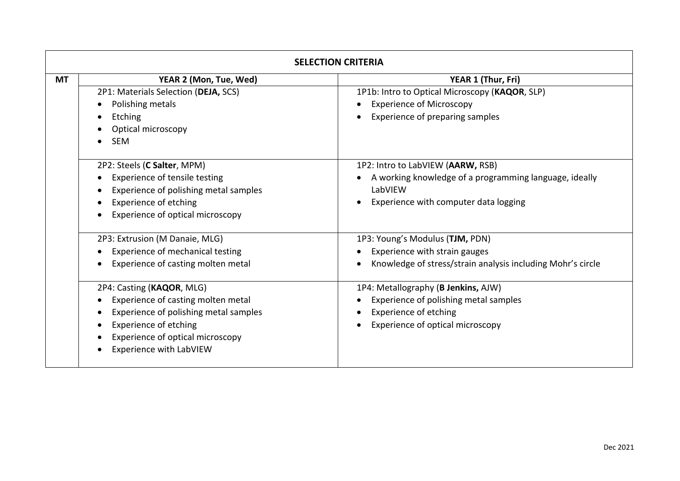| <b>SELECTION CRITERIA</b> |                                                                                                                                                                                                         |                                                                                                                                                  |  |  |
|---------------------------|---------------------------------------------------------------------------------------------------------------------------------------------------------------------------------------------------------|--------------------------------------------------------------------------------------------------------------------------------------------------|--|--|
| <b>MT</b>                 | YEAR 2 (Mon, Tue, Wed)<br>2P1: Materials Selection (DEJA, SCS)<br>Polishing metals<br>Etching<br>Optical microscopy<br><b>SEM</b>                                                                       | YEAR 1 (Thur, Fri)<br>1P1b: Intro to Optical Microscopy (KAQOR, SLP)<br><b>Experience of Microscopy</b><br>Experience of preparing samples       |  |  |
|                           | 2P2: Steels (C Salter, MPM)<br>Experience of tensile testing<br>Experience of polishing metal samples<br>Experience of etching<br>Experience of optical microscopy                                      | 1P2: Intro to LabVIEW (AARW, RSB)<br>A working knowledge of a programming language, ideally<br>LabVIEW<br>Experience with computer data logging  |  |  |
|                           | 2P3: Extrusion (M Danaie, MLG)<br>Experience of mechanical testing<br>Experience of casting molten metal                                                                                                | 1P3: Young's Modulus (TJM, PDN)<br>Experience with strain gauges<br>Knowledge of stress/strain analysis including Mohr's circle                  |  |  |
|                           | 2P4: Casting (KAQOR, MLG)<br>Experience of casting molten metal<br>Experience of polishing metal samples<br><b>Experience of etching</b><br>Experience of optical microscopy<br>Experience with LabVIEW | 1P4: Metallography (B Jenkins, AJW)<br>Experience of polishing metal samples<br><b>Experience of etching</b><br>Experience of optical microscopy |  |  |